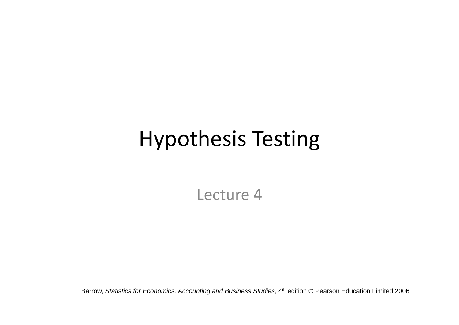# Hypothesis Testing

Lecture 4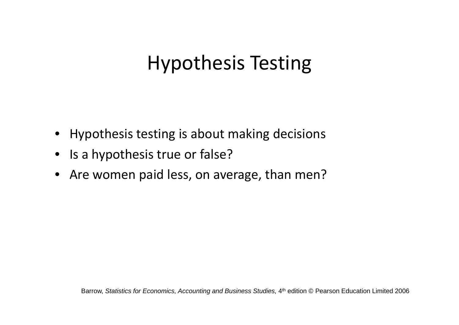## Hypothesis Testing

- Hypothesis testing is about making decisions
- Is a hypothesis true or false?
- Are women paid less, on average, than men?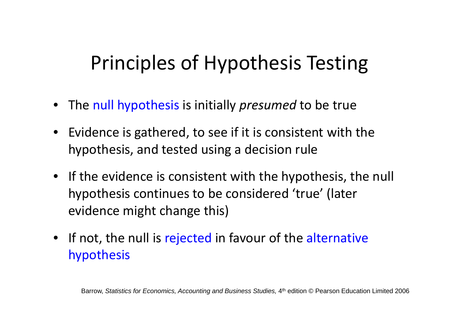## Principles of Hypothesis Testing

- The null hypothesis is initially *presumed* to be true
- Evidence is gathered, to see if it is consistent with the hypothesis, and tested using <sup>a</sup> decision rule
- If the evidence is consistent with the hypothesis, the null hypothesis continues to be considered 'true' (later evidence might change this)
- If not, the null is rejected in favour of the alternative hypothesis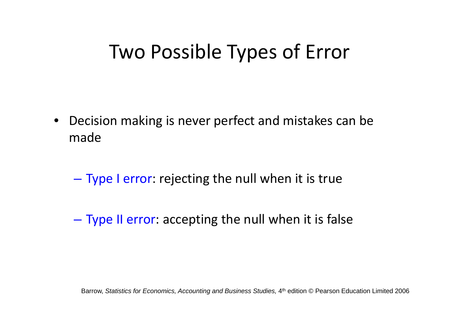### Two Possible Types of Error

- $\bullet$  Decision making is never perfect and mistakes can be made
	- –– Type I error: rejecting the null when it is true
	- –– Type II error: accepting the null when it is false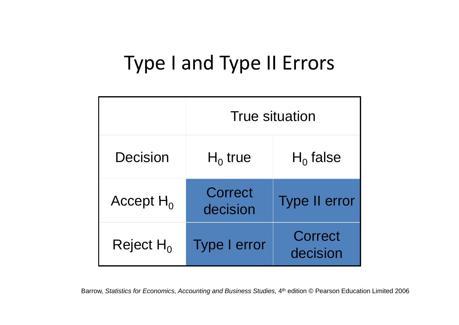## Type I and Type II Errors

|              | <b>True situation</b> |                      |
|--------------|-----------------------|----------------------|
| Decision     | $H_0$ true            | $H_0$ false          |
| Accept $H_0$ | Correct<br>decision   | <b>Type II error</b> |
| Reject $H_0$ | Type I error          | Correct<br>decision  |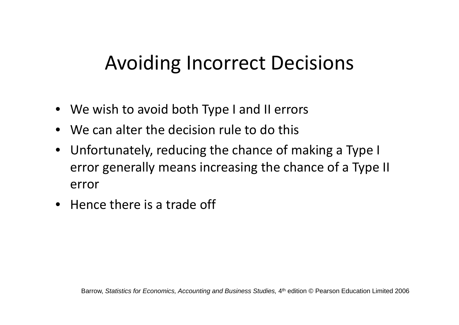### Avoiding Incorrect Decisions

- We wish to avoid both Type I and II errors
- $\bullet$  We can alter the decision rule to do this
- Unfortunately, reducing the chance of making <sup>a</sup> Type I error generally means increasing the chance of <sup>a</sup> Type II error
- Hence there is <sup>a</sup> trade off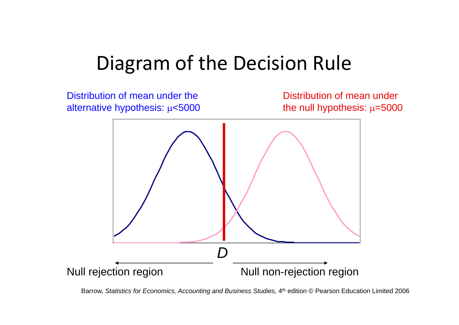### Diagram of the Decision Rule

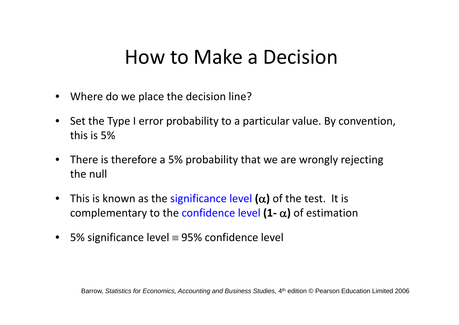### How to Make a Decision

- Where do we place the decision line?
- Set the Type I error probability to a particular value. By convention, this is 5%
- There is therefore <sup>a</sup> 5% probability that we are wrongly rejecting the null
- This is known as the significance level  $(\alpha)$  of the test. It is complementary to the confidence level  $(1 - \alpha)$  of estimation
- 5% significance level  $\equiv$  95% confidence level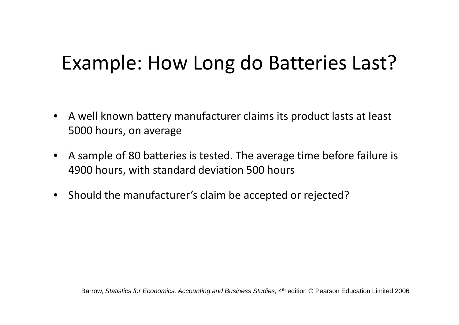## Example: How Long do Batteries Last?

- $\bullet$  A well known battery manufacturer claims its product lasts at least 5000 hours, on average
- $\bullet$  A sample of 80 batteries is tested. The average time before failure is 4900 hours, with standard deviation 500 hours
- Should the manufacturer's claim be accepted or rejected?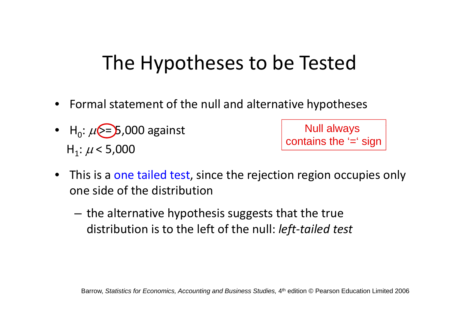## The Hypotheses to be Tested

- Formal statement of the null and alternative hypotheses
- H<sub>0</sub>:  $\mu$  $>$ = $>$ 5,000 against  $\qquad$  Null al H<sub>1</sub>:  $\mu$  < 5,000

Null always contains the '=' sign

- This is a one tailed test, since the rejection region occupies only one side of the distribution
	- $-$  the alternative hypothesis suggests that the true distribution is to the left of the null: *left‐tailed test*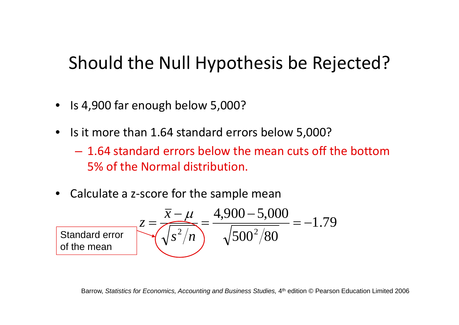#### Should the Null Hypothesis be Rejected?

- Is 4,900 far enough below 5,000?
- Is it more than 1.64 standard errors below 5,000?
	- 1.64 standard errors below the mean cuts off the bottom5% of the Normal distribution.
- Calculate <sup>a</sup> <sup>z</sup>‐score for the sample mean

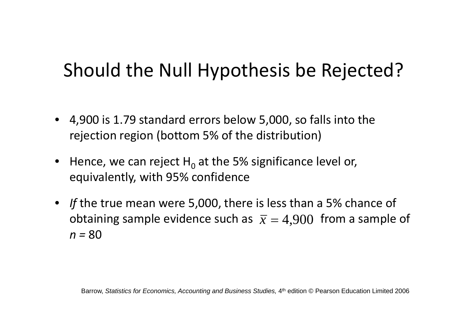### Should the Null Hypothesis be Rejected?

- $\bullet$  4,900 is 1.79 standard errors below 5,000, so falls into the rejection region (bottom 5% of the distribution)
- Hence, we can reject  $H^0$  at the 5% significance level or, equivalently, with 95% confidence
- If the true mean were 5,000, there is less than a 5% chance of obtaining sample evidence such as  $\bar{x} = 4,900$  from a sample of *n <sup>=</sup>* 80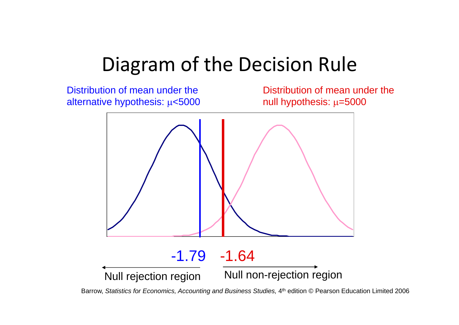### Diagram of the Decision Rule

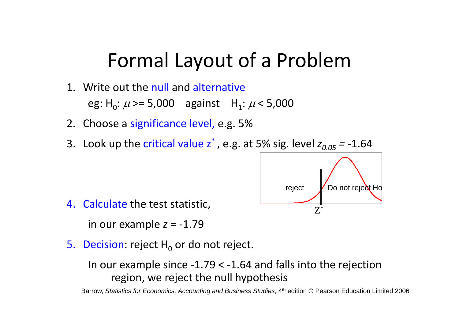#### Formal Layout of <sup>a</sup> Problem

- 1. Write out the null and alternative eg: H<sub>0</sub>:  $\mu$  >= 5,000 against H<sub>1</sub>:  $\mu$  < 5,000
- 2. Choose a significance level, e.g. 5%
- 3. Look up the critical value z<sup>\*</sup>, e.g. at 5% sig. level  $z_{0.05}$  = -1.64



4. Calculate the test statistic,

in our example *<sup>z</sup>* <sup>=</sup> ‐1.79

5.  $\,$  Decision: reject  $\rm H_{0}$  or do not reject.

In our example since ‐1.79 <sup>&</sup>lt; ‐1.64 and falls into the rejection region, we reject the null hypothesis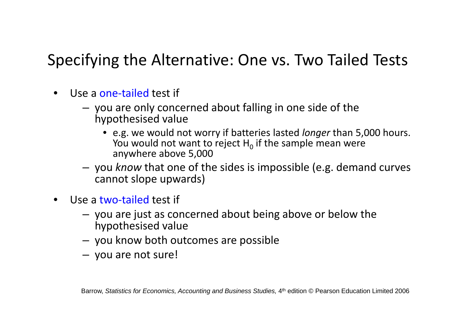#### Specifying the Alternative: One vs. Two Tailed Tests

- •● Use a one-tailed test if
	- you are only concerned about falling in one side of the hypothesised value
		- e.g. we would not worry if batteries lasted *longer* than 5,000 hours. You would not want to reject  ${\sf H}_0$  if the sample mean were anywhere above 5,000
	- you *know* that one of the sides is impossible (e.g. demand curves cannot slope upwards)
- •● Use a two-tailed test if
	- you are just as concerned about being above or below the hypothesised value
	- $-$  you know both outcomes are possible
	- you are not sure!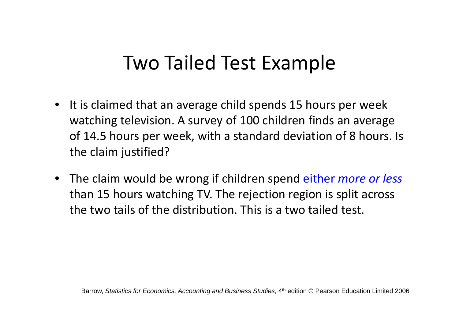### Two Tailed Test Example

- It is claimed that an average child spends 15 hours per week watching television. A survey of 100 children finds an average of 14.5 hours per week, with <sup>a</sup> standard deviation of 8 hours. Is the claim justified?
- The claim would be wrong if children spend either *more or less* than 15 hours watching TV. The rejection region is split across the two tails of the distribution. This is <sup>a</sup> two tailed test.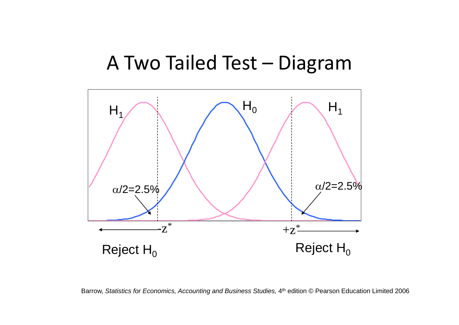#### A Two Tailed Test – Diagram

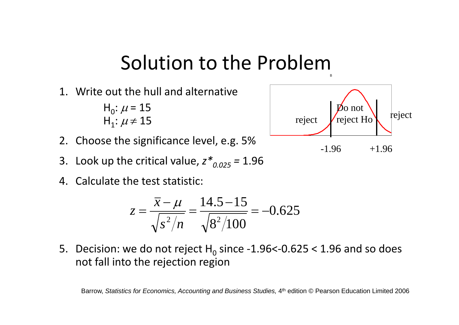### Solution to the Problem

1. Write out the hull and alternative

 $H_0: \mu = 15$  ${\sf H}_1$ :  $\mu$   $\neq$   $15$ 

- 2. Choose the significance level, e.g. 5%
- 3. Look up the critical value,  $z^*_{0.025}$  = 1.96
- 4. Calculate the test statistic:

$$
z = \frac{\overline{x} - \mu}{\sqrt{s^2/n}} = \frac{14.5 - 15}{\sqrt{8^2/100}} = -0.625
$$

5.  $\,$  Decision: we do not reject  $H^{}_0$  since -1.96<-0.625 < 1.96 and so does not fall into the rejection region

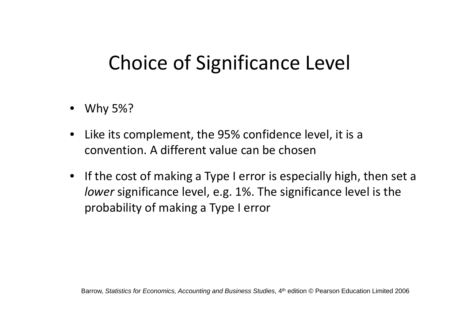## Choice of Significance Level

- Why 5%?
- • Like its complement, the 95% confidence level, it is <sup>a</sup> convention. A different value can be chosen
- If the cost of making <sup>a</sup> Type I error is especially high, then set <sup>a</sup> *lower* significance level, e.g. 1%. The significance level is the probability of making <sup>a</sup> Type I error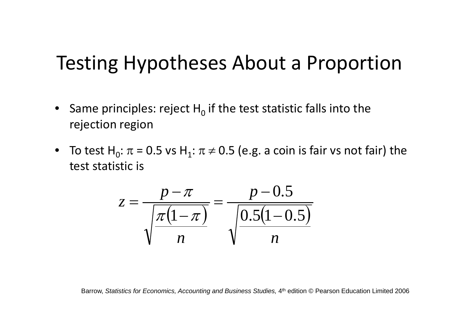#### Testing Hypotheses About <sup>a</sup> Proportion

- •• Same principles: reject  $H_0$  if the test statistic falls into the rejection region
- To test H<sub>0</sub>:  $\pi$  = 0.5 vs H<sub>1</sub>:  $\pi$  ≠ 0.5 (e.g. a coin is fair vs not fair) the test statistic is

$$
z = \frac{p - \pi}{\sqrt{\frac{\pi (1 - \pi)}{n}}} = \frac{p - 0.5}{\sqrt{\frac{0.5(1 - 0.5)}{n}}}
$$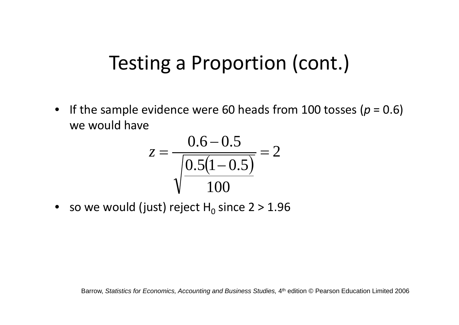### Testing <sup>a</sup> Proportion (cont.)

• If the sample evidence were 60 heads from 100 tosses (*p* <sup>=</sup> 0.6) we would have

$$
z = \frac{0.6 - 0.5}{\sqrt{\frac{0.5(1 - 0.5)}{100}}} = 2
$$

 $\bullet~$  so we would (just) reject H $_{\rm 0}$  since 2 > 1.96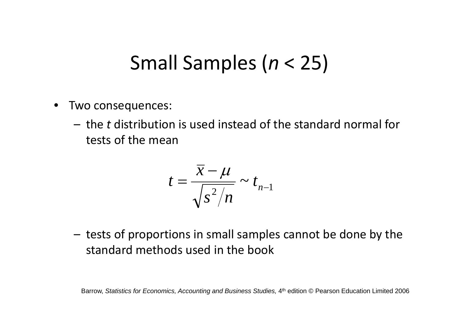### Small Samples (*<sup>n</sup>* <sup>&</sup>lt; 25)

- • Two consequences:
	- the *t* distribution is used instead of the standard normal for tests of the mean

$$
t=\frac{\overline{x}-\mu}{\sqrt{s^2/n}}\sim t_{n-1}
$$

– $-$  tests of proportions in small samples cannot be done by the standard methods used in the book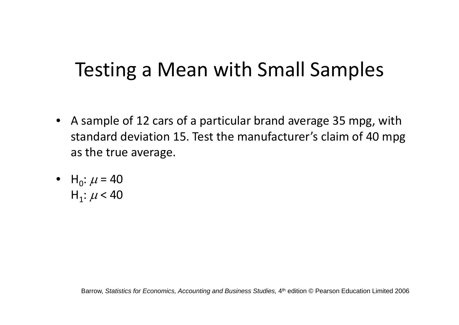## Testing <sup>a</sup> Mean with Small Samples

- A sample of 12 cars of <sup>a</sup> particular brand average 35 mpg, with standard deviation 15. Test the manufacturer's claim of 40 mpg as the true average.
- H<sub>0</sub>:  $\mu$  = 40 H<sub>1</sub>:  $\mu$  < 40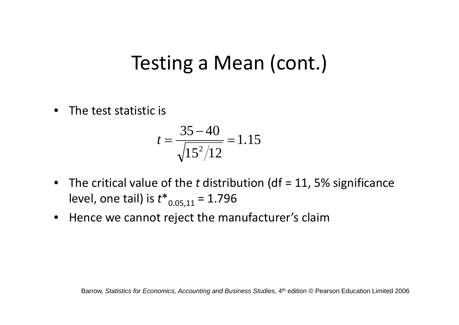### Testing <sup>a</sup> Mean (cont.)

• The test statistic is

$$
t = \frac{35 - 40}{\sqrt{15^2/12}} = 1.15
$$

- The critical value of the *t* distribution (df <sup>=</sup> 11, 5% significance level, one tail) is  $t^*_{0.05,11}$  = 1.796
- Hence we cannot reject the manufacturer's claim